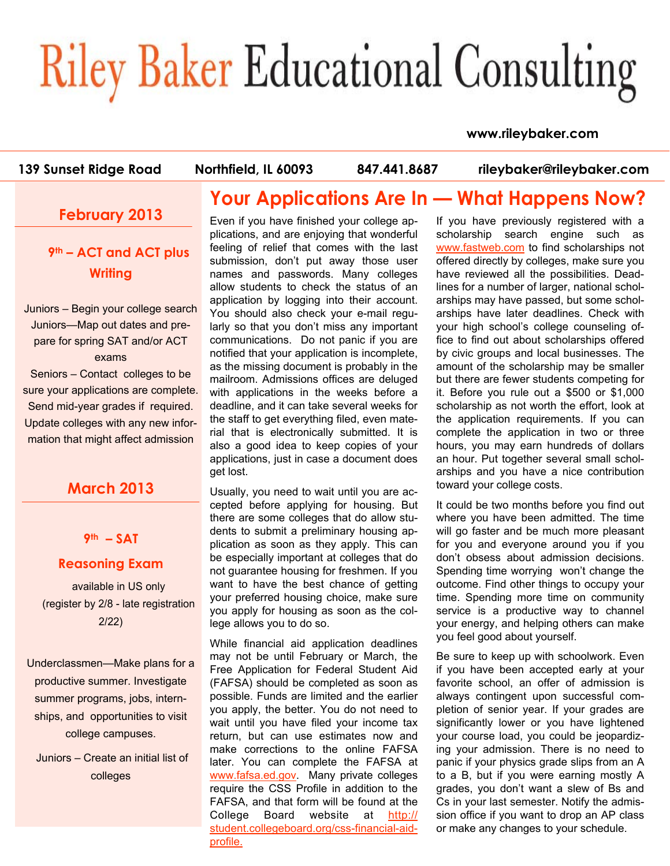# **Riley Baker Educational Consulting**

#### **www.rileybaker.com**

**139 Sunset Ridge Road Northfield, IL 60093 847.441.8687 rileybaker@rileybaker.com**

## **February 2013**

## **9th – ACT and ACT plus Writing**

Juniors – Begin your college search Juniors—Map out dates and prepare for spring SAT and/or ACT exams Seniors – Contact colleges to be sure your applications are complete. Send mid-year grades if required. Update colleges with any new information that might affect admission

## **March 2013**

#### **9th – SAT**

#### **Reasoning Exam**

available in US only (register by 2/8 - late registration 2/22)

Underclassmen—Make plans for a productive summer. Investigate summer programs, jobs, internships, and opportunities to visit college campuses.

 Juniors – Create an initial list of colleges

# **Your Applications Are In — What Happens Now?**

Even if you have finished your college applications, and are enjoying that wonderful feeling of relief that comes with the last submission, don't put away those user names and passwords. Many colleges allow students to check the status of an application by logging into their account. You should also check your e-mail regularly so that you don't miss any important communications. Do not panic if you are notified that your application is incomplete, as the missing document is probably in the mailroom. Admissions offices are deluged with applications in the weeks before a deadline, and it can take several weeks for the staff to get everything filed, even material that is electronically submitted. It is also a good idea to keep copies of your applications, just in case a document does get lost.

Usually, you need to wait until you are accepted before applying for housing. But there are some colleges that do allow students to submit a preliminary housing application as soon as they apply. This can be especially important at colleges that do not guarantee housing for freshmen. If you want to have the best chance of getting your preferred housing choice, make sure you apply for housing as soon as the college allows you to do so.

While financial aid application deadlines may not be until February or March, the Free Application for Federal Student Aid (FAFSA) should be completed as soon as possible. Funds are limited and the earlier you apply, the better. You do not need to wait until you have filed your income tax return, but can use estimates now and make corrections to the online FAFSA later. You can complete the FAFSA at www.fafsa.ed.gov. Many private colleges require the CSS Profile in addition to the FAFSA, and that form will be found at the College Board website at http:// student.collegeboard.org/css-financial-aidprofile.

If you have previously registered with a scholarship search engine such as www.fastweb.com to find scholarships not offered directly by colleges, make sure you have reviewed all the possibilities. Deadlines for a number of larger, national scholarships may have passed, but some scholarships have later deadlines. Check with your high school's college counseling office to find out about scholarships offered by civic groups and local businesses. The amount of the scholarship may be smaller but there are fewer students competing for it. Before you rule out a \$500 or \$1,000 scholarship as not worth the effort, look at the application requirements. If you can complete the application in two or three hours, you may earn hundreds of dollars an hour. Put together several small scholarships and you have a nice contribution toward your college costs.

It could be two months before you find out where you have been admitted. The time will go faster and be much more pleasant for you and everyone around you if you don't obsess about admission decisions. Spending time worrying won't change the outcome. Find other things to occupy your time. Spending more time on community service is a productive way to channel your energy, and helping others can make you feel good about yourself.

Be sure to keep up with schoolwork. Even if you have been accepted early at your favorite school, an offer of admission is always contingent upon successful completion of senior year. If your grades are significantly lower or you have lightened your course load, you could be jeopardizing your admission. There is no need to panic if your physics grade slips from an A to a B, but if you were earning mostly A grades, you don't want a slew of Bs and Cs in your last semester. Notify the admission office if you want to drop an AP class or make any changes to your schedule.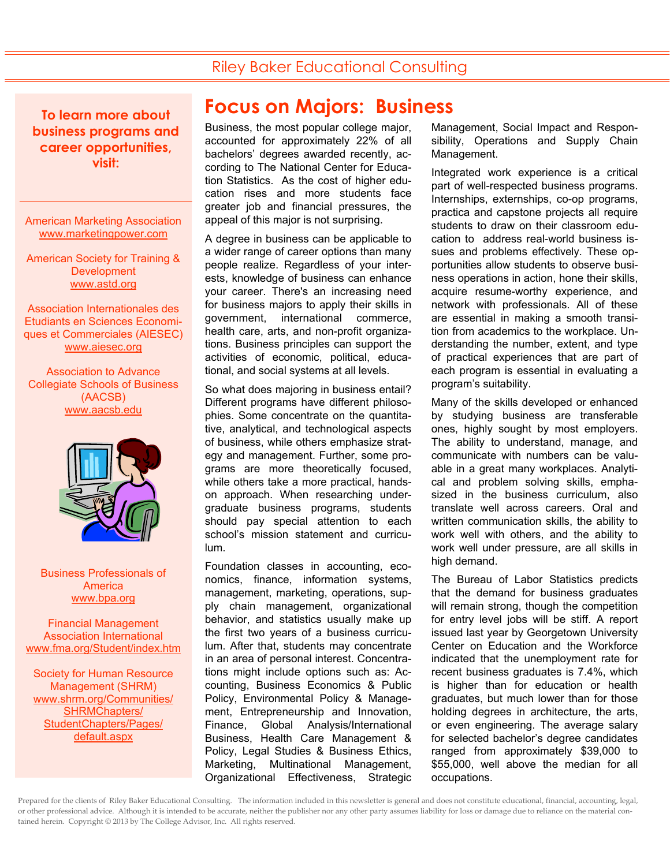## Riley Baker Educational Consulting

**To learn more about business programs and career opportunities, visit:** 

American Marketing Association www.marketingpower.com

American Society for Training & **Development** www.astd.org

Association Internationales des Etudiants en Sciences Economiques et Commerciales (AIESEC) www.aiesec.org

Association to Advance Collegiate Schools of Business (AACSB) www.aacsb.edu



Business Professionals of America www.bpa.org

Financial Management Association International www.fma.org/Student/index.htm

Society for Human Resource Management (SHRM) www.shrm.org/Communities/ SHRMChapters/ StudentChapters/Pages/ default.aspx

# **Focus on Majors: Business**

Business, the most popular college major, accounted for approximately 22% of all bachelors' degrees awarded recently, according to The National Center for Education Statistics. As the cost of higher education rises and more students face greater job and financial pressures, the appeal of this major is not surprising.

A degree in business can be applicable to a wider range of career options than many people realize. Regardless of your interests, knowledge of business can enhance your career. There's an increasing need for business majors to apply their skills in government, international commerce, health care, arts, and non-profit organizations. Business principles can support the activities of economic, political, educational, and social systems at all levels.

So what does majoring in business entail? Different programs have different philosophies. Some concentrate on the quantitative, analytical, and technological aspects of business, while others emphasize strategy and management. Further, some programs are more theoretically focused, while others take a more practical, handson approach. When researching undergraduate business programs, students should pay special attention to each school's mission statement and curriculum.

Foundation classes in accounting, economics, finance, information systems, management, marketing, operations, supply chain management, organizational behavior, and statistics usually make up the first two years of a business curriculum. After that, students may concentrate in an area of personal interest. Concentrations might include options such as: Accounting, Business Economics & Public Policy, Environmental Policy & Management, Entrepreneurship and Innovation, Finance, Global Analysis/International Business, Health Care Management & Policy, Legal Studies & Business Ethics, Marketing, Multinational Management, Organizational Effectiveness, Strategic Management, Social Impact and Responsibility, Operations and Supply Chain Management.

Integrated work experience is a critical part of well-respected business programs. Internships, externships, co-op programs, practica and capstone projects all require students to draw on their classroom education to address real-world business issues and problems effectively. These opportunities allow students to observe business operations in action, hone their skills, acquire resume-worthy experience, and network with professionals. All of these are essential in making a smooth transition from academics to the workplace. Understanding the number, extent, and type of practical experiences that are part of each program is essential in evaluating a program's suitability.

Many of the skills developed or enhanced by studying business are transferable ones, highly sought by most employers. The ability to understand, manage, and communicate with numbers can be valuable in a great many workplaces. Analytical and problem solving skills, emphasized in the business curriculum, also translate well across careers. Oral and written communication skills, the ability to work well with others, and the ability to work well under pressure, are all skills in high demand.

The Bureau of Labor Statistics predicts that the demand for business graduates will remain strong, though the competition for entry level jobs will be stiff. A report issued last year by Georgetown University Center on Education and the Workforce indicated that the unemployment rate for recent business graduates is 7.4%, which is higher than for education or health graduates, but much lower than for those holding degrees in architecture, the arts, or even engineering. The average salary for selected bachelor's degree candidates ranged from approximately \$39,000 to \$55,000, well above the median for all occupations.

Prepared for the clients of Riley Baker Educational Consulting. The information included in this newsletter is general and does not constitute educational, financial, accounting, legal, or other professional advice. Although it is intended to be accurate, neither the publisher nor any other party assumes liability for loss or damage due to reliance on the material contained herein. Copyright © 2013 by The College Advisor, Inc. All rights reserved.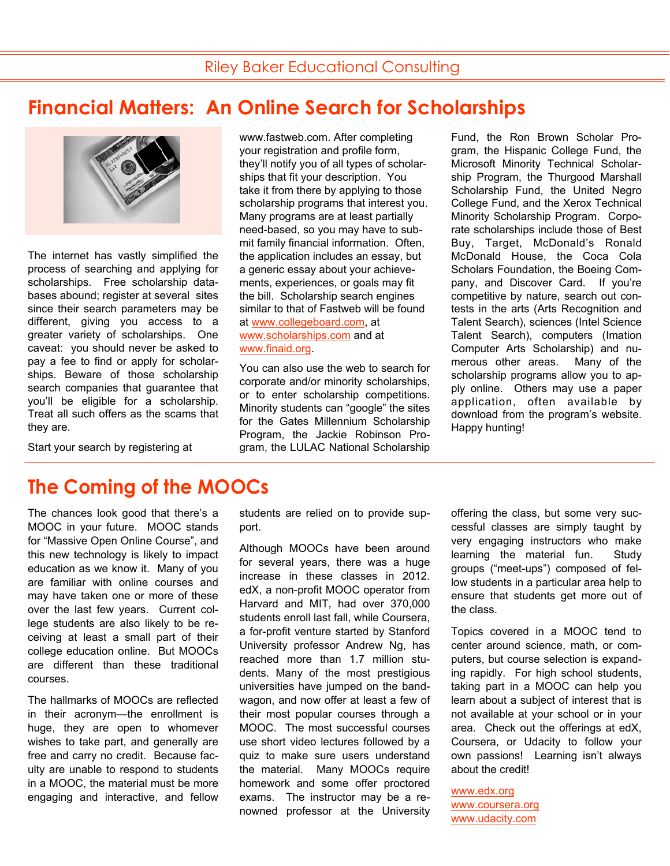# **Financial Matters: An Online Search for Scholarships**



The internet has vastly simplified the process of searching and applying for scholarships. Free scholarship databases abound; register at several sites since their search parameters may be different, giving you access to a greater variety of scholarships. One caveat: you should never be asked to pay a fee to find or apply for scholarships. Beware of those scholarship search companies that guarantee that you'll be eligible for a scholarship. Treat all such offers as the scams that they are.

Start your search by registering at

www.fastweb.com. After completing your registration and profile form, they'll notify you of all types of scholarships that fit your description. You take it from there by applying to those scholarship programs that interest you. Many programs are at least partially need-based, so you may have to submit family financial information. Often, the application includes an essay, but a generic essay about your achievements, experiences, or goals may fit the bill. Scholarship search engines similar to that of Fastweb will be found at www.collegeboard.com, at www.scholarships.com and at www.finaid.org.

You can also use the web to search for corporate and/or minority scholarships, or to enter scholarship competitions. Minority students can "google" the sites for the Gates Millennium Scholarship Program, the Jackie Robinson Program, the LULAC National Scholarship Fund, the Ron Brown Scholar Program, the Hispanic College Fund, the Microsoft Minority Technical Scholarship Program, the Thurgood Marshall Scholarship Fund, the United Negro College Fund, and the Xerox Technical Minority Scholarship Program. Corporate scholarships include those of Best Buy, Target, McDonald's Ronald McDonald House, the Coca Cola Scholars Foundation, the Boeing Company, and Discover Card. If you're competitive by nature, search out contests in the arts (Arts Recognition and Talent Search), sciences (Intel Science Talent Search), computers (Imation Computer Arts Scholarship) and numerous other areas. Many of the scholarship programs allow you to apply online. Others may use a paper application, often available by download from the program's website. Happy hunting!

# **The Coming of the MOOCs**

The chances look good that there's a MOOC in your future. MOOC stands for "Massive Open Online Course", and this new technology is likely to impact education as we know it. Many of you are familiar with online courses and may have taken one or more of these over the last few years. Current college students are also likely to be receiving at least a small part of their college education online. But MOOCs are different than these traditional courses.

The hallmarks of MOOCs are reflected in their acronym—the enrollment is huge, they are open to whomever wishes to take part, and generally are free and carry no credit. Because faculty are unable to respond to students in a MOOC, the material must be more engaging and interactive, and fellow students are relied on to provide support.

Although MOOCs have been around for several years, there was a huge increase in these classes in 2012. edX, a non-profit MOOC operator from Harvard and MIT, had over 370,000 students enroll last fall, while Coursera, a for-profit venture started by Stanford University professor Andrew Ng, has reached more than 1.7 million students. Many of the most prestigious universities have jumped on the bandwagon, and now offer at least a few of their most popular courses through a MOOC. The most successful courses use short video lectures followed by a quiz to make sure users understand the material. Many MOOCs require homework and some offer proctored exams. The instructor may be a renowned professor at the University offering the class, but some very successful classes are simply taught by very engaging instructors who make learning the material fun. Study groups ("meet-ups") composed of fellow students in a particular area help to ensure that students get more out of the class.

Topics covered in a MOOC tend to center around science, math, or computers, but course selection is expanding rapidly. For high school students, taking part in a MOOC can help you learn about a subject of interest that is not available at your school or in your area. Check out the offerings at edX, Coursera, or Udacity to follow your own passions! Learning isn't always about the credit!

www.edx.org www.coursera.org www.udacity.com